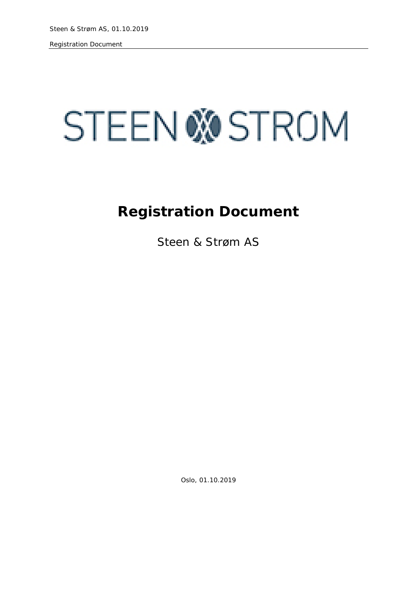# **STEEN WOSTROM**

## **Registration Document**

Steen & Strøm AS

Oslo, 01.10.2019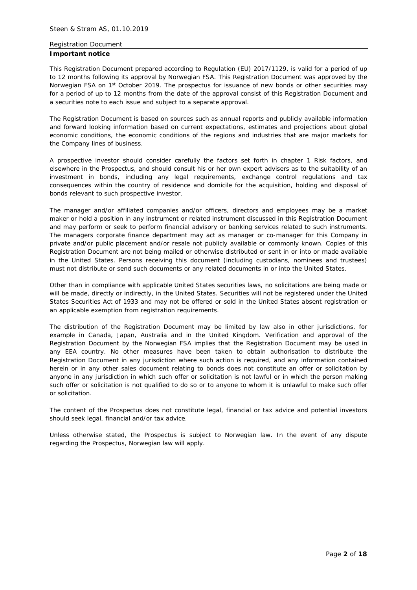#### **Important notice**

This Registration Document prepared according to Regulation (EU) 2017/1129, is valid for a period of up to 12 months following its approval by Norwegian FSA. This Registration Document was approved by the Norwegian FSA on 1<sup>st</sup> October 2019. The prospectus for issuance of new bonds or other securities may for a period of up to 12 months from the date of the approval consist of this Registration Document and a securities note to each issue and subject to a separate approval.

The Registration Document is based on sources such as annual reports and publicly available information and forward looking information based on current expectations, estimates and projections about global economic conditions, the economic conditions of the regions and industries that are major markets for the Company lines of business.

A prospective investor should consider carefully the factors set forth in chapter 1 Risk factors, and elsewhere in the Prospectus, and should consult his or her own expert advisers as to the suitability of an investment in bonds, including any legal requirements, exchange control regulations and tax consequences within the country of residence and domicile for the acquisition, holding and disposal of bonds relevant to such prospective investor.

The manager and/or affiliated companies and/or officers, directors and employees may be a market maker or hold a position in any instrument or related instrument discussed in this Registration Document and may perform or seek to perform financial advisory or banking services related to such instruments. The managers corporate finance department may act as manager or co-manager for this Company in private and/or public placement and/or resale not publicly available or commonly known. Copies of this Registration Document are not being mailed or otherwise distributed or sent in or into or made available in the United States. Persons receiving this document (including custodians, nominees and trustees) must not distribute or send such documents or any related documents in or into the United States.

Other than in compliance with applicable United States securities laws, no solicitations are being made or will be made, directly or indirectly, in the United States. Securities will not be registered under the United States Securities Act of 1933 and may not be offered or sold in the United States absent registration or an applicable exemption from registration requirements.

The distribution of the Registration Document may be limited by law also in other jurisdictions, for example in Canada, Japan, Australia and in the United Kingdom. Verification and approval of the Registration Document by the Norwegian FSA implies that the Registration Document may be used in any EEA country. No other measures have been taken to obtain authorisation to distribute the Registration Document in any jurisdiction where such action is required, and any information contained herein or in any other sales document relating to bonds does not constitute an offer or solicitation by anyone in any jurisdiction in which such offer or solicitation is not lawful or in which the person making such offer or solicitation is not qualified to do so or to anyone to whom it is unlawful to make such offer or solicitation.

The content of the Prospectus does not constitute legal, financial or tax advice and potential investors should seek legal, financial and/or tax advice.

Unless otherwise stated, the Prospectus is subject to Norwegian law. In the event of any dispute regarding the Prospectus, Norwegian law will apply.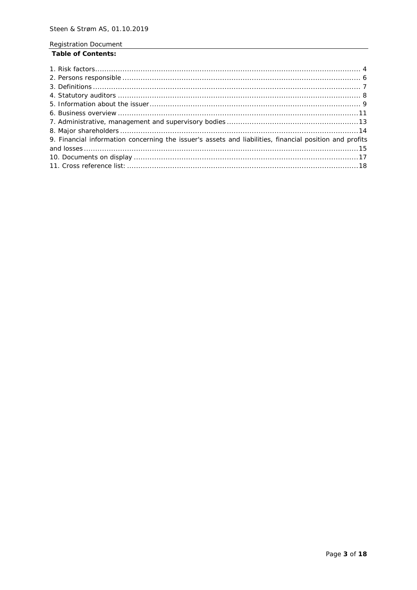## **Table of Contents:**

| 9. Financial information concerning the issuer's assets and liabilities, financial position and profits |
|---------------------------------------------------------------------------------------------------------|
|                                                                                                         |
|                                                                                                         |
|                                                                                                         |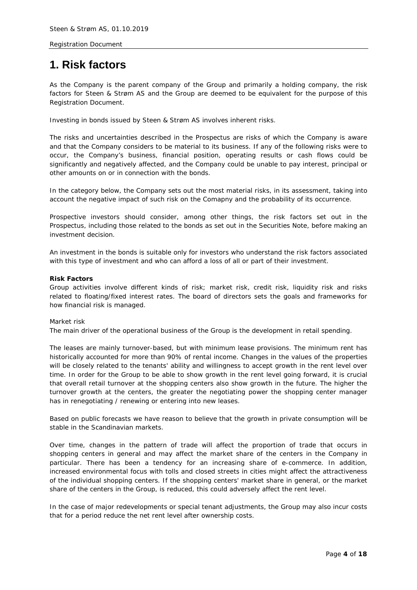## <span id="page-3-0"></span>**1. Risk factors**

As the Company is the parent company of the Group and primarily a holding company, the risk factors for Steen & Strøm AS and the Group are deemed to be equivalent for the purpose of this Registration Document.

Investing in bonds issued by Steen & Strøm AS involves inherent risks.

The risks and uncertainties described in the Prospectus are risks of which the Company is aware and that the Company considers to be material to its business. If any of the following risks were to occur, the Company's business, financial position, operating results or cash flows could be significantly and negatively affected, and the Company could be unable to pay interest, principal or other amounts on or in connection with the bonds.

In the category below, the Company sets out the most material risks, in its assessment, taking into account the negative impact of such risk on the Comapny and the probability of its occurrence.

Prospective investors should consider, among other things, the risk factors set out in the Prospectus, including those related to the bonds as set out in the Securities Note, before making an investment decision.

An investment in the bonds is suitable only for investors who understand the risk factors associated with this type of investment and who can afford a loss of all or part of their investment.

## **Risk Factors**

Group activities involve different kinds of risk; market risk, credit risk, liquidity risk and risks related to floating/fixed interest rates. The board of directors sets the goals and frameworks for how financial risk is managed.

#### *Market risk*

The main driver of the operational business of the Group is the development in retail spending.

The leases are mainly turnover-based, but with minimum lease provisions. The minimum rent has historically accounted for more than 90% of rental income. Changes in the values of the properties will be closely related to the tenants' ability and willingness to accept growth in the rent level over time. In order for the Group to be able to show growth in the rent level going forward, it is crucial that overall retail turnover at the shopping centers also show growth in the future. The higher the turnover growth at the centers, the greater the negotiating power the shopping center manager has in renegotiating / renewing or entering into new leases.

Based on public forecasts we have reason to believe that the growth in private consumption will be stable in the Scandinavian markets.

Over time, changes in the pattern of trade will affect the proportion of trade that occurs in shopping centers in general and may affect the market share of the centers in the Company in particular. There has been a tendency for an increasing share of e-commerce. In addition, increased environmental focus with tolls and closed streets in cities might affect the attractiveness of the individual shopping centers. If the shopping centers' market share in general, or the market share of the centers in the Group, is reduced, this could adversely affect the rent level.

In the case of major redevelopments or special tenant adjustments, the Group may also incur costs that for a period reduce the net rent level after ownership costs.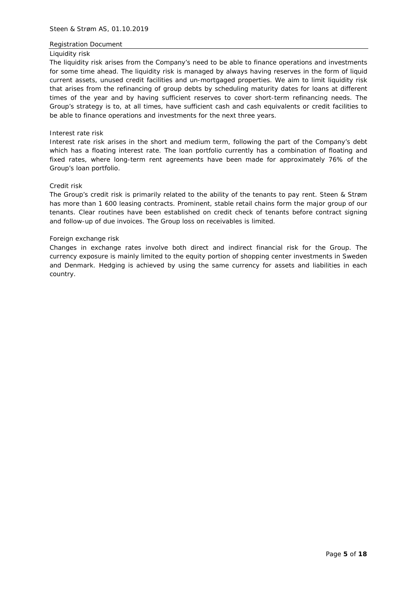#### *Liquidity risk*

The liquidity risk arises from the Company's need to be able to finance operations and investments for some time ahead. The liquidity risk is managed by always having reserves in the form of liquid current assets, unused credit facilities and un-mortgaged properties. We aim to limit liquidity risk that arises from the refinancing of group debts by scheduling maturity dates for loans at different times of the year and by having sufficient reserves to cover short-term refinancing needs. The Group's strategy is to, at all times, have sufficient cash and cash equivalents or credit facilities to be able to finance operations and investments for the next three years.

#### *Interest rate risk*

Interest rate risk arises in the short and medium term, following the part of the Company's debt which has a floating interest rate. The loan portfolio currently has a combination of floating and fixed rates, where long-term rent agreements have been made for approximately 76% of the Group's loan portfolio.

## *Credit risk*

The Group's credit risk is primarily related to the ability of the tenants to pay rent. Steen & Strøm has more than 1 600 leasing contracts. Prominent, stable retail chains form the major group of our tenants. Clear routines have been established on credit check of tenants before contract signing and follow-up of due invoices. The Group loss on receivables is limited.

#### *Foreign exchange risk*

Changes in exchange rates involve both direct and indirect financial risk for the Group. The currency exposure is mainly limited to the equity portion of shopping center investments in Sweden and Denmark. Hedging is achieved by using the same currency for assets and liabilities in each country.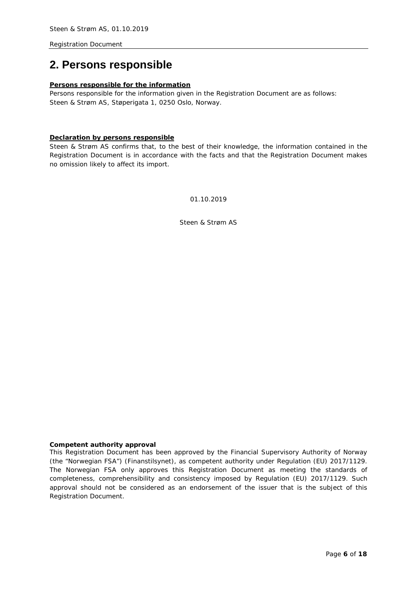## <span id="page-5-1"></span><span id="page-5-0"></span>**2. Persons responsible**

## **Persons responsible for the information**

Persons responsible for the information given in the Registration Document are as follows: Steen & Strøm AS, Støperigata 1, 0250 Oslo, Norway.

## **Declaration by persons responsible**

Steen & Strøm AS confirms that, to the best of their knowledge, the information contained in the Registration Document is in accordance with the facts and that the Registration Document makes no omission likely to affect its import.

01.10.2019

Steen & Strøm AS

## **Competent authority approval**

This Registration Document has been approved by the Financial Supervisory Authority of Norway (the "Norwegian FSA") (Finanstilsynet), as competent authority under Regulation (EU) 2017/1129. The Norwegian FSA only approves this Registration Document as meeting the standards of completeness, comprehensibility and consistency imposed by Regulation (EU) 2017/1129. Such approval should not be considered as an endorsement of the issuer that is the subject of this Registration Document.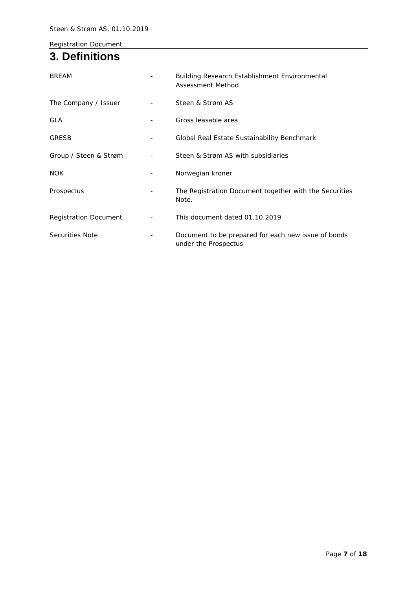## **3. Definitions**

| <b>BREAM</b>                 | Building Research Establishment Environmental<br>Assessment Method          |
|------------------------------|-----------------------------------------------------------------------------|
| The Company / Issuer         | Steen & Strøm AS                                                            |
| <b>GLA</b>                   | Gross leasable area                                                         |
| <b>GRESB</b>                 | Global Real Estate Sustainability Benchmark                                 |
| Group / Steen & Strøm        | Steen & Strøm AS with subsidiaries                                          |
| <b>NOK</b>                   | Norwegian kroner                                                            |
| Prospectus                   | The Registration Document together with the Securities<br>Note.             |
| <b>Registration Document</b> | This document dated 01.10.2019                                              |
| Securities Note              | Document to be prepared for each new issue of bonds<br>under the Prospectus |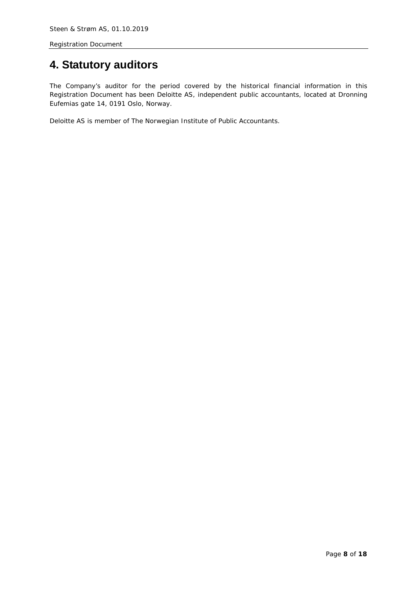## <span id="page-7-0"></span>**4. Statutory auditors**

The Company's auditor for the period covered by the historical financial information in this Registration Document has been Deloitte AS, independent public accountants, located at Dronning Eufemias gate 14, 0191 Oslo, Norway.

Deloitte AS is member of The Norwegian Institute of Public Accountants.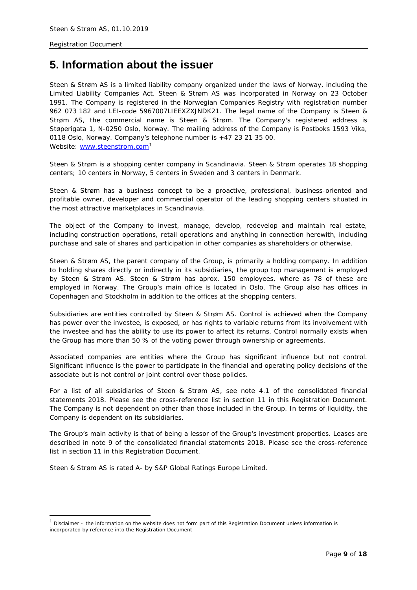## <span id="page-8-0"></span>**5. Information about the issuer**

Steen & Strøm AS is a limited liability company organized under the laws of Norway, including the Limited Liability Companies Act. Steen & Strøm AS was incorporated in Norway on 23 October 1991. The Company is registered in the Norwegian Companies Registry with registration number 962 073 182 and LEI-code 5967007LIEEXZXJNDK21. The legal name of the Company is Steen & Strøm AS, the commercial name is Steen & Strøm. The Company's registered address is Støperigata 1, N-0250 Oslo, Norway. The mailing address of the Company is Postboks 1593 Vika, 0118 Oslo, Norway. Company's telephone number is +47 23 21 35 00. Website: [www.steenstrom.com](http://www.steenstrom.com/)<sup>[1](#page-8-1)</sup>

Steen & Strøm is a shopping center company in Scandinavia. Steen & Strøm operates 18 shopping centers; 10 centers in Norway, 5 centers in Sweden and 3 centers in Denmark.

Steen & Strøm has a business concept to *be a proactive, professional, business-oriented and profitable owner, developer and commercial operator of the leading shopping centers situated in the most attractive marketplaces in Scandinavia.*

The object of the Company to invest, manage, develop, redevelop and maintain real estate, including construction operations, retail operations and anything in connection herewith, including purchase and sale of shares and participation in other companies as shareholders or otherwise.

Steen & Strøm AS, the parent company of the Group, is primarily a holding company. In addition to holding shares directly or indirectly in its subsidiaries, the group top management is employed by Steen & Strøm AS. Steen & Strøm has aprox. 150 employees, where as 78 of these are employed in Norway. The Group's main office is located in Oslo. The Group also has offices in Copenhagen and Stockholm in addition to the offices at the shopping centers.

Subsidiaries are entities controlled by Steen & Strøm AS. Control is achieved when the Company has power over the investee, is exposed, or has rights to variable returns from its involvement with the investee and has the ability to use its power to affect its returns. Control normally exists when the Group has more than 50 % of the voting power through ownership or agreements.

Associated companies are entities where the Group has significant influence but not control. Significant influence is the power to participate in the financial and operating policy decisions of the associate but is not control or joint control over those policies.

For a list of all subsidiaries of Steen & Strøm AS, see note 4.1 of the consolidated financial statements 2018. Please see the cross-reference list in section 11 in this Registration Document. The Company is not dependent on other than those included in the Group. In terms of liquidity, the Company is dependent on its subsidiaries.

The Group's main activity is that of being a lessor of the Group's investment properties. Leases are described in note 9 of the consolidated financial statements 2018. Please see the cross-reference list in section 11 in this Registration Document.

Steen & Strøm AS is rated A- by S&P Global Ratings Europe Limited.

i,

<span id="page-8-1"></span><sup>1</sup> *Disclaimer - the information on the website does not form part of this Registration Document unless information is incorporated by reference into the Registration Document*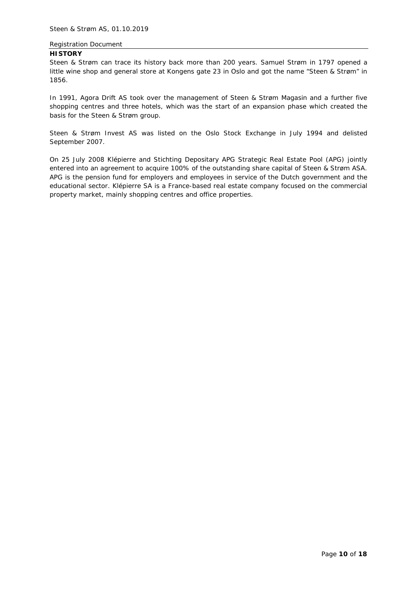## **HISTORY**

Steen & Strøm can trace its history back more than 200 years. Samuel Strøm in 1797 opened a little wine shop and general store at Kongens gate 23 in Oslo and got the name "Steen & Strøm" in 1856.

In 1991, Agora Drift AS took over the management of Steen & Strøm Magasin and a further five shopping centres and three hotels, which was the start of an expansion phase which created the basis for the Steen & Strøm group.

Steen & Strøm Invest AS was listed on the Oslo Stock Exchange in July 1994 and delisted September 2007.

On 25 July 2008 Klépierre and Stichting Depositary APG Strategic Real Estate Pool (APG) jointly entered into an agreement to acquire 100% of the outstanding share capital of Steen & Strøm ASA. APG is the pension fund for employers and employees in service of the Dutch government and the educational sector. Klépierre SA is a France-based real estate company focused on the commercial property market, mainly shopping centres and office properties.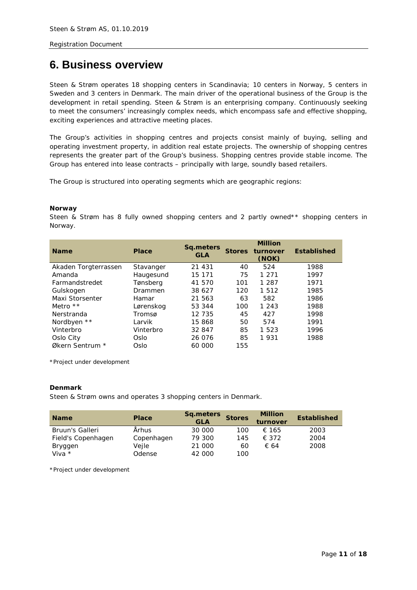## <span id="page-10-0"></span>**6. Business overview**

Steen & Strøm operates 18 shopping centers in Scandinavia; 10 centers in Norway, 5 centers in Sweden and 3 centers in Denmark. The main driver of the operational business of the Group is the development in retail spending. Steen & Strøm is an enterprising company. Continuously seeking to meet the consumers' increasingly complex needs, which encompass safe and effective shopping, exciting experiences and attractive meeting places.

The Group's activities in shopping centres and projects consist mainly of buying, selling and operating investment property, in addition real estate projects. The ownership of shopping centres represents the greater part of the Group's business. Shopping centres provide stable income. The Group has entered into lease contracts – principally with large, soundly based retailers.

The Group is structured into operating segments which are geographic regions:

## *Norway*

Steen & Strøm has 8 fully owned shopping centers and 2 partly owned\*\* shopping centers in Norway.

| <b>Name</b>          | <b>Place</b> | Sq.meters<br><b>GLA</b> | <b>Stores</b> | <b>Million</b><br>turnover<br>(NOK) | <b>Established</b> |
|----------------------|--------------|-------------------------|---------------|-------------------------------------|--------------------|
| Akaden Torgterrassen | Stavanger    | 21 431                  | 40            | 524                                 | 1988               |
| Amanda               | Haugesund    | 15 171                  | 75            | 1 2 7 1                             | 1997               |
| Farmandstredet       | Tønsberg     | 41 570                  | 101           | 1 2 8 7                             | 1971               |
| Gulskogen            | Drammen      | 38 627                  | 120           | 1 5 1 2                             | 1985               |
| Maxi Storsenter      | Hamar        | 21 563                  | 63            | 582                                 | 1986               |
| Metro $**$           | Lørenskog    | 53 344                  | 100           | 1 2 4 3                             | 1988               |
| Nerstranda           | Tromsø       | 12 735                  | 45            | 427                                 | 1998               |
| Nordbyen **          | Larvik       | 15868                   | 50            | 574                                 | 1991               |
| Vinterbro            | Vinterbro    | 32 847                  | 85            | 1 5 2 3                             | 1996               |
| Oslo City            | Oslo         | 26 076                  | 85            | 1931                                | 1988               |
| Økern Sentrum *      | Oslo         | 60 000                  | 155           |                                     |                    |

\*Project under development

#### *Denmark*

Steen & Strøm owns and operates 3 shopping centers in Denmark.

| <b>Name</b>        | <b>Place</b> | Sq.meters<br><b>GLA</b> | <b>Stores</b> | <b>Million</b><br>turnover | <b>Established</b> |
|--------------------|--------------|-------------------------|---------------|----------------------------|--------------------|
| Bruun's Galleri    | Århus        | 30 000                  | 100           | € 165                      | 2003               |
| Field's Copenhagen | Copenhagen   | 79 300                  | 145           | $\epsilon$ 372             | 2004               |
| Bryggen            | Vejle        | 21 000                  | 60            | € 64                       | 2008               |
| Viva $*$           | Odense       | 42 000                  | 100           |                            |                    |

\*Project under development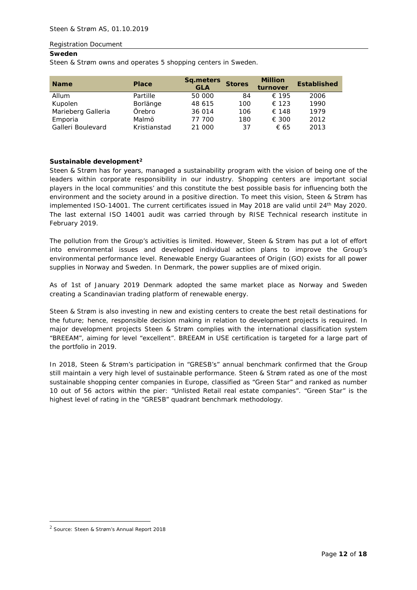## *Sweden*

Steen & Strøm owns and operates 5 shopping centers in Sweden.

| <b>Name</b>        | <b>Place</b> | <b>Sq.meters</b><br><b>GLA</b> | <b>Stores</b> | <b>Million</b><br>turnover | <b>Established</b> |
|--------------------|--------------|--------------------------------|---------------|----------------------------|--------------------|
| Allum              | Partille     | 50 000                         | 84            | € 195                      | 2006               |
| Kupolen            | Borlänge     | 48 615                         | 100           | € 123                      | 1990               |
| Marieberg Galleria | Örebro       | 36 014                         | 106           | € 148                      | 1979               |
| Emporia            | Malmö        | 77 700                         | 180           | € 300                      | 2012               |
| Galleri Boulevard  | Kristianstad | 21 000                         | 37            | € 65                       | 2013               |

## *Sustainable development[2](#page-11-0)*

Steen & Strøm has for years, managed a sustainability program with the vision of being one of the leaders within corporate responsibility in our industry. Shopping centers are important social players in the local communities' and this constitute the best possible basis for influencing both the environment and the society around in a positive direction. To meet this vision, Steen & Strøm has implemented ISO-14001. The current certificates issued in May 2018 are valid until 24<sup>th</sup> May 2020. The last external ISO 14001 audit was carried through by RISE Technical research institute in February 2019.

The pollution from the Group's activities is limited. However, Steen & Strøm has put a lot of effort into environmental issues and developed individual action plans to improve the Group's environmental performance level. Renewable Energy Guarantees of Origin (GO) exists for all power supplies in Norway and Sweden. In Denmark, the power supplies are of mixed origin.

As of 1st of January 2019 Denmark adopted the same market place as Norway and Sweden creating a Scandinavian trading platform of renewable energy.

Steen & Strøm is also investing in new and existing centers to create the best retail destinations for the future; hence, responsible decision making in relation to development projects is required. In major development projects Steen & Strøm complies with the international classification system "BREEAM", aiming for level "excellent". BREEAM in USE certification is targeted for a large part of the portfolio in 2019.

In 2018, Steen & Strøm's participation in "GRESB's" annual benchmark confirmed that the Group still maintain a very high level of sustainable performance. Steen & Strøm rated as one of the most sustainable shopping center companies in Europe, classified as "Green Star" and ranked as number 10 out of 56 actors within the pier: "Unlisted Retail real estate companies". "Green Star" is the highest level of rating in the "GRESB" quadrant benchmark methodology.

-

<span id="page-11-0"></span><sup>2</sup> *Source: Steen & Strøm's Annual Report 2018*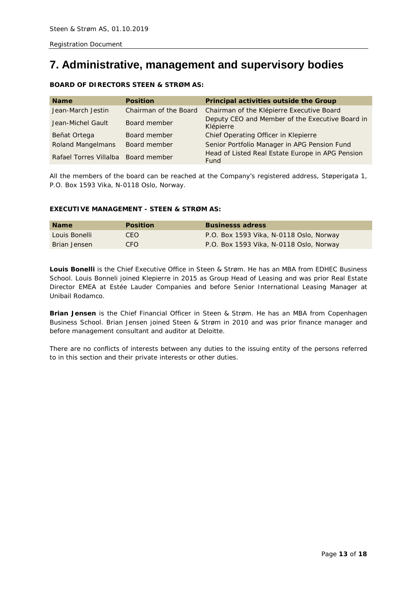## <span id="page-12-0"></span>**7. Administrative, management and supervisory bodies**

## **BOARD OF DIRECTORS STEEN & STRØM AS:**

| <b>Name</b>                         | <b>Position</b>       | Principal activities outside the Group                       |
|-------------------------------------|-----------------------|--------------------------------------------------------------|
| Jean-March Jestin                   | Chairman of the Board | Chairman of the Klépierre Executive Board                    |
| Jean-Michel Gault                   | Board member          | Deputy CEO and Member of the Executive Board in<br>Klépierre |
| Beñat Ortega                        | Board member          | Chief Operating Officer in Klepierre                         |
| <b>Roland Mangelmans</b>            | Board member          | Senior Portfolio Manager in APG Pension Fund                 |
| Rafael Torres Villalba Board member |                       | Head of Listed Real Estate Europe in APG Pension<br>Fund     |

All the members of the board can be reached at the Company's registered address, Støperigata 1, P.O. Box 1593 Vika, N-0118 Oslo, Norway.

## **EXECUTIVE MANAGEMENT - STEEN & STRØM AS:**

| <b>Name</b>   | <b>Position</b> | <b>Businesss adress</b>                 |
|---------------|-----------------|-----------------------------------------|
| Louis Bonelli | CEO.            | P.O. Box 1593 Vika, N-0118 Oslo, Norway |
| Brian Jensen  | CEO.            | P.O. Box 1593 Vika, N-0118 Oslo, Norway |

**Louis Bonelli** is the Chief Executive Office in Steen & Strøm. He has an MBA from EDHEC Business School. Louis Bonneli joined Klepierre in 2015 as Group Head of Leasing and was prior Real Estate Director EMEA at Estée Lauder Companies and before Senior International Leasing Manager at Unibail Rodamco.

**Brian Jensen** is the Chief Financial Officer in Steen & Strøm. He has an MBA from Copenhagen Business School. Brian Jensen joined Steen & Strøm in 2010 and was prior finance manager and before management consultant and auditor at Deloitte.

There are no conflicts of interests between any duties to the issuing entity of the persons referred to in this section and their private interests or other duties.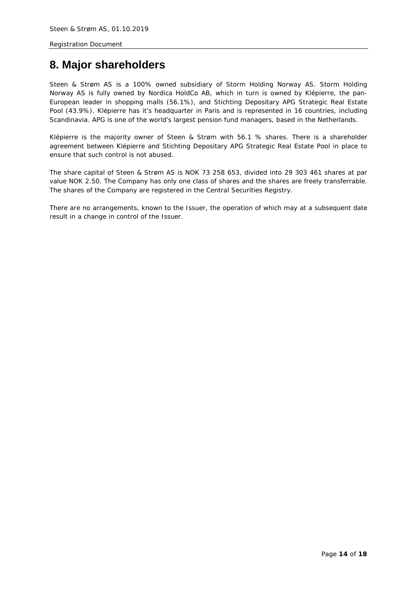## <span id="page-13-0"></span>**8. Major shareholders**

Steen & Strøm AS is a 100% owned subsidiary of Storm Holding Norway AS. Storm Holding Norway AS is fully owned by Nordica HoldCo AB, which in turn is owned by Klépierre, the pan-European leader in shopping malls (56.1%), and Stichting Depositary APG Strategic Real Estate Pool (43.9%). Klépierre has it's headquarter in Paris and is represented in 16 countries, including Scandinavia. APG is one of the world's largest pension fund managers, based in the Netherlands.

Klépierre is the majority owner of Steen & Strøm with 56.1 % shares. There is a shareholder agreement between Klépierre and Stichting Depositary APG Strategic Real Estate Pool in place to ensure that such control is not abused.

The share capital of Steen & Strøm AS is NOK 73 258 653, divided into 29 303 461 shares at par value NOK 2.50. The Company has only one class of shares and the shares are freely transferrable. The shares of the Company are registered in the Central Securities Registry.

There are no arrangements, known to the Issuer, the operation of which may at a subsequent date result in a change in control of the Issuer.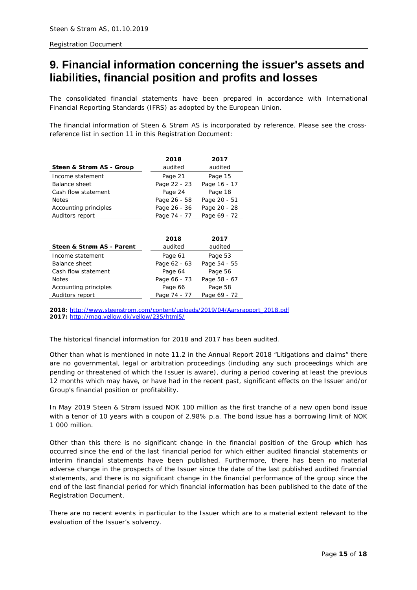## <span id="page-14-0"></span>**9. Financial information concerning the issuer's assets and liabilities, financial position and profits and losses**

The consolidated financial statements have been prepared in accordance with International Financial Reporting Standards (IFRS) as adopted by the European Union.

The financial information of Steen & Strøm AS is incorporated by reference. Please see the crossreference list in section 11 in this Registration Document:

|                          | 2018         | 2017         |
|--------------------------|--------------|--------------|
| Steen & Strøm AS - Group | audited      | audited      |
| Income statement         | Page 21      | Page 15      |
| Balance sheet            | Page 22 - 23 | Page 16 - 17 |
| Cash flow statement      | Page 24      | Page 18      |
| <b>Notes</b>             | Page 26 - 58 | Page 20 - 51 |
| Accounting principles    | Page 26 - 36 | Page 20 - 28 |
| Auditors report          | Page 74 - 77 | Page 69 - 72 |

|                           | 2018         | 2017         |
|---------------------------|--------------|--------------|
| Steen & Strøm AS - Parent | audited      | audited      |
| Income statement          | Page 61      | Page 53      |
| Balance sheet             | Page 62 - 63 | Page 54 - 55 |
| Cash flow statement       | Page 64      | Page 56      |
| <b>Notes</b>              | Page 66 - 73 | Page 58 - 67 |
| Accounting principles     | Page 66      | Page 58      |
| Auditors report           | Page 74 - 77 | Page 69 - 72 |

*2018: [http://www.steenstrom.com/content/uploads/2019/04/Aarsrapport\\_2018.pdf](http://www.steenstrom.com/content/uploads/2019/04/Aarsrapport_2018.pdf) 2017: <http://mag.yellow.dk/yellow/235/html5/>*

The historical financial information for 2018 and 2017 has been audited.

Other than what is mentioned in note 11.2 in the Annual Report 2018 "Litigations and claims" there are no governmental, legal or arbitration proceedings (including any such proceedings which are pending or threatened of which the Issuer is aware), during a period covering at least the previous 12 months which may have, or have had in the recent past, significant effects on the Issuer and/or Group's financial position or profitability.

In May 2019 Steen & Strøm issued NOK 100 million as the first tranche of a new open bond issue with a tenor of 10 years with a coupon of 2.98% p.a. The bond issue has a borrowing limit of NOK 1 000 million.

Other than this there is no significant change in the financial position of the Group which has occurred since the end of the last financial period for which either audited financial statements or interim financial statements have been published. Furthermore, there has been no material adverse change in the prospects of the Issuer since the date of the last published audited financial statements, and there is no significant change in the financial performance of the group since the end of the last financial period for which financial information has been published to the date of the Registration Document.

There are no recent events in particular to the Issuer which are to a material extent relevant to the evaluation of the Issuer's solvency.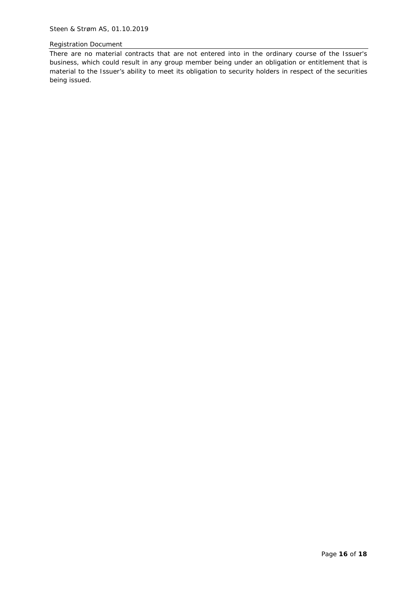There are no material contracts that are not entered into in the ordinary course of the Issuer's business, which could result in any group member being under an obligation or entitlement that is material to the Issuer's ability to meet its obligation to security holders in respect of the securities being issued.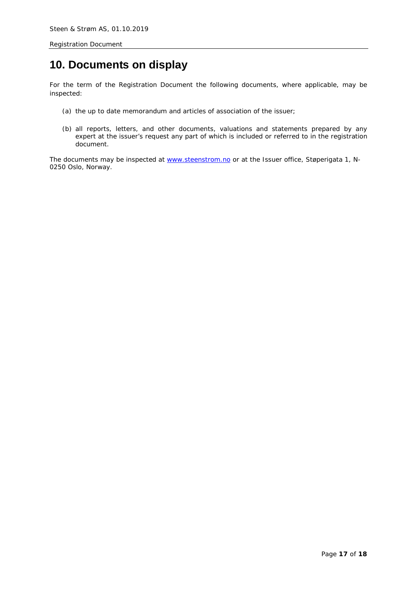## <span id="page-16-0"></span>**10. Documents on display**

For the term of the Registration Document the following documents, where applicable, may be inspected:

- (a) the up to date memorandum and articles of association of the issuer;
- (b) all reports, letters, and other documents, valuations and statements prepared by any expert at the issuer's request any part of which is included or referred to in the registration document.

The documents may be inspected at [www.steenstrom.no](http://www.steenstrom.no/) or at the Issuer office, Støperigata 1, N-0250 Oslo, Norway.